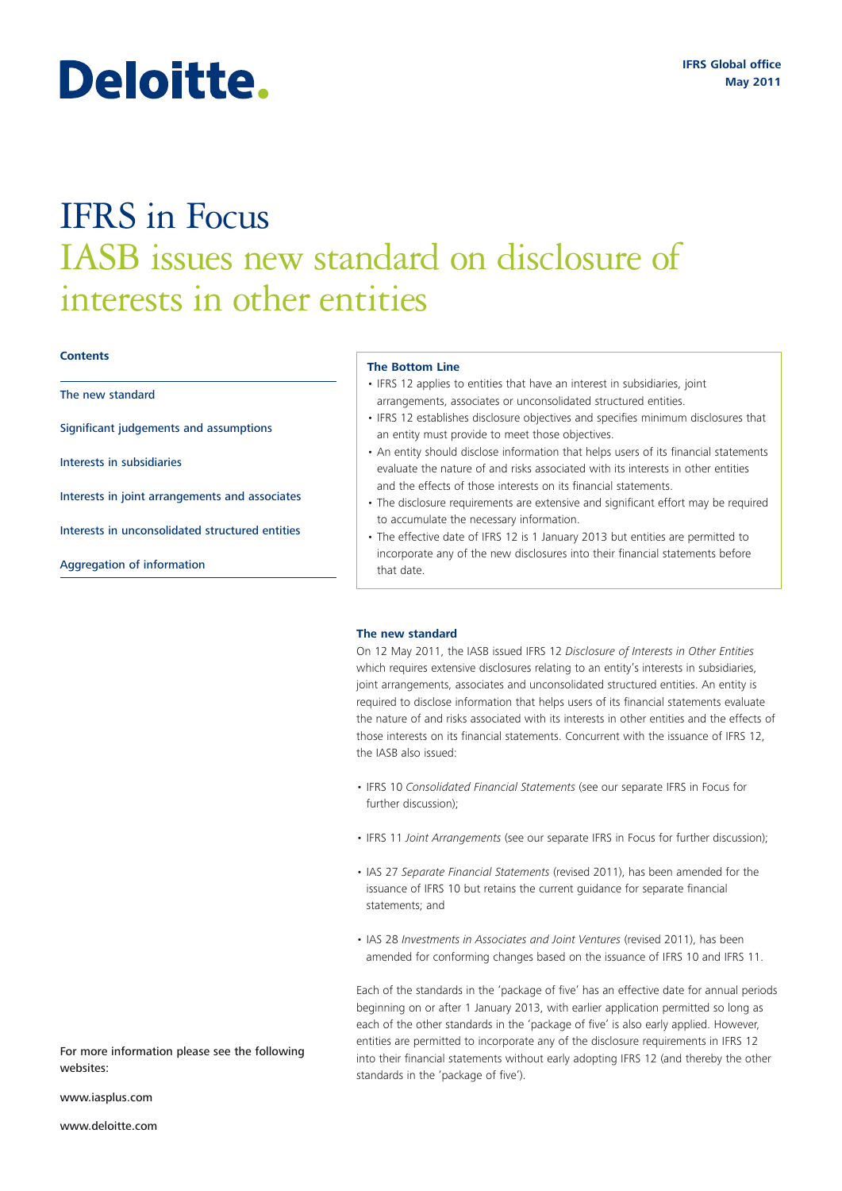# Deloitte.

## IFRS in Focus IASB issues new standard on disclosure of interests in other entities

#### **Contents**

The new standard

Significant judgements and assumptions

Interests in subsidiaries

Interests in joint arrangements and associates

Interests in unconsolidated structured entities

Aggregation of information

#### **The Bottom Line**

- IFRS 12 applies to entities that have an interest in subsidiaries, joint arrangements, associates or unconsolidated structured entities.
- IFRS 12 establishes disclosure objectives and specifies minimum disclosures that an entity must provide to meet those objectives.
- An entity should disclose information that helps users of its financial statements evaluate the nature of and risks associated with its interests in other entities and the effects of those interests on its financial statements.
- The disclosure requirements are extensive and significant effort may be required to accumulate the necessary information.
- The effective date of IFRS 12 is 1 January 2013 but entities are permitted to incorporate any of the new disclosures into their financial statements before that date.

#### **The new standard**

On 12 May 2011, the IASB issued IFRS 12 *Disclosure of Interests in Other Entities* which requires extensive disclosures relating to an entity's interests in subsidiaries, joint arrangements, associates and unconsolidated structured entities. An entity is required to disclose information that helps users of its financial statements evaluate the nature of and risks associated with its interests in other entities and the effects of those interests on its financial statements. Concurrent with the issuance of IFRS 12, the IASB also issued:

- IFRS 10 *Consolidated Financial Statements* (see our separate IFRS in Focus for further discussion);
- IFRS 11 *Joint Arrangements* (see our separate IFRS in Focus for further discussion);
- IAS 27 *Separate Financial Statements* (revised 2011), has been amended for the issuance of IFRS 10 but retains the current guidance for separate financial statements; and
- IAS 28 *Investments in Associates and Joint Ventures* (revised 2011), has been amended for conforming changes based on the issuance of IFRS 10 and IFRS 11.

Each of the standards in the 'package of five' has an effective date for annual periods beginning on or after 1 January 2013, with earlier application permitted so long as each of the other standards in the 'package of five' is also early applied. However, entities are permitted to incorporate any of the disclosure requirements in IFRS 12 into their financial statements without early adopting IFRS 12 (and thereby the other standards in the 'package of five').

For more information please see the following websites:

www.iasplus.com

www.deloitte.com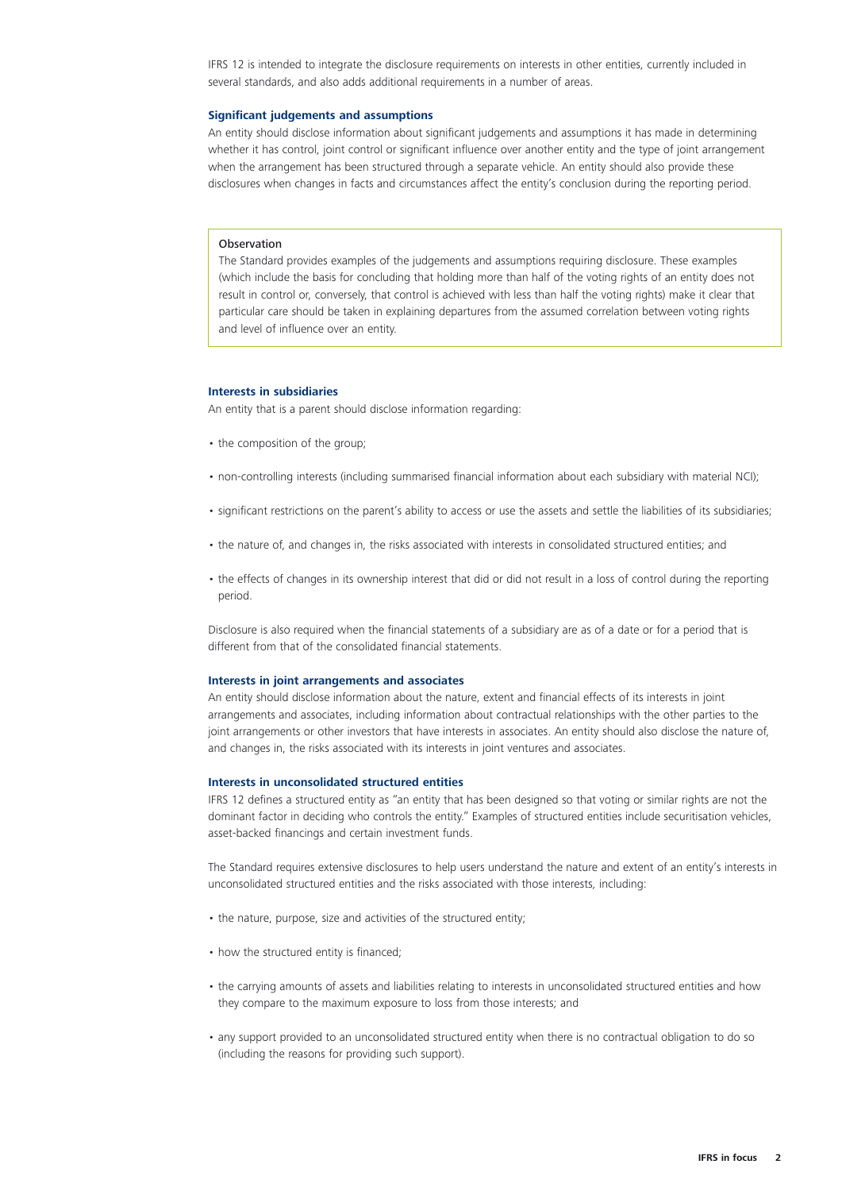IFRS 12 is intended to integrate the disclosure requirements on interests in other entities, currently included in several standards, and also adds additional requirements in a number of areas.

#### **Significant judgements and assumptions**

An entity should disclose information about significant judgements and assumptions it has made in determining whether it has control, joint control or significant influence over another entity and the type of joint arrangement when the arrangement has been structured through a separate vehicle. An entity should also provide these disclosures when changes in facts and circumstances affect the entity's conclusion during the reporting period.

#### **Observation**

The Standard provides examples of the judgements and assumptions requiring disclosure. These examples (which include the basis for concluding that holding more than half of the voting rights of an entity does not result in control or, conversely, that control is achieved with less than half the voting rights) make it clear that particular care should be taken in explaining departures from the assumed correlation between voting rights and level of influence over an entity.

#### **Interests in subsidiaries**

An entity that is a parent should disclose information regarding:

- the composition of the group;
- non-controlling interests (including summarised financial information about each subsidiary with material NCI);
- significant restrictions on the parent's ability to access or use the assets and settle the liabilities of its subsidiaries;
- the nature of, and changes in, the risks associated with interests in consolidated structured entities; and
- the effects of changes in its ownership interest that did or did not result in a loss of control during the reporting period.

Disclosure is also required when the financial statements of a subsidiary are as of a date or for a period that is different from that of the consolidated financial statements.

#### **Interests in joint arrangements and associates**

An entity should disclose information about the nature, extent and financial effects of its interests in joint arrangements and associates, including information about contractual relationships with the other parties to the joint arrangements or other investors that have interests in associates. An entity should also disclose the nature of, and changes in, the risks associated with its interests in joint ventures and associates.

#### **Interests in unconsolidated structured entities**

IFRS 12 defines a structured entity as "an entity that has been designed so that voting or similar rights are not the dominant factor in deciding who controls the entity." Examples of structured entities include securitisation vehicles, asset-backed financings and certain investment funds.

The Standard requires extensive disclosures to help users understand the nature and extent of an entity's interests in unconsolidated structured entities and the risks associated with those interests, including:

- the nature, purpose, size and activities of the structured entity;
- how the structured entity is financed;
- the carrying amounts of assets and liabilities relating to interests in unconsolidated structured entities and how they compare to the maximum exposure to loss from those interests; and
- any support provided to an unconsolidated structured entity when there is no contractual obligation to do so (including the reasons for providing such support).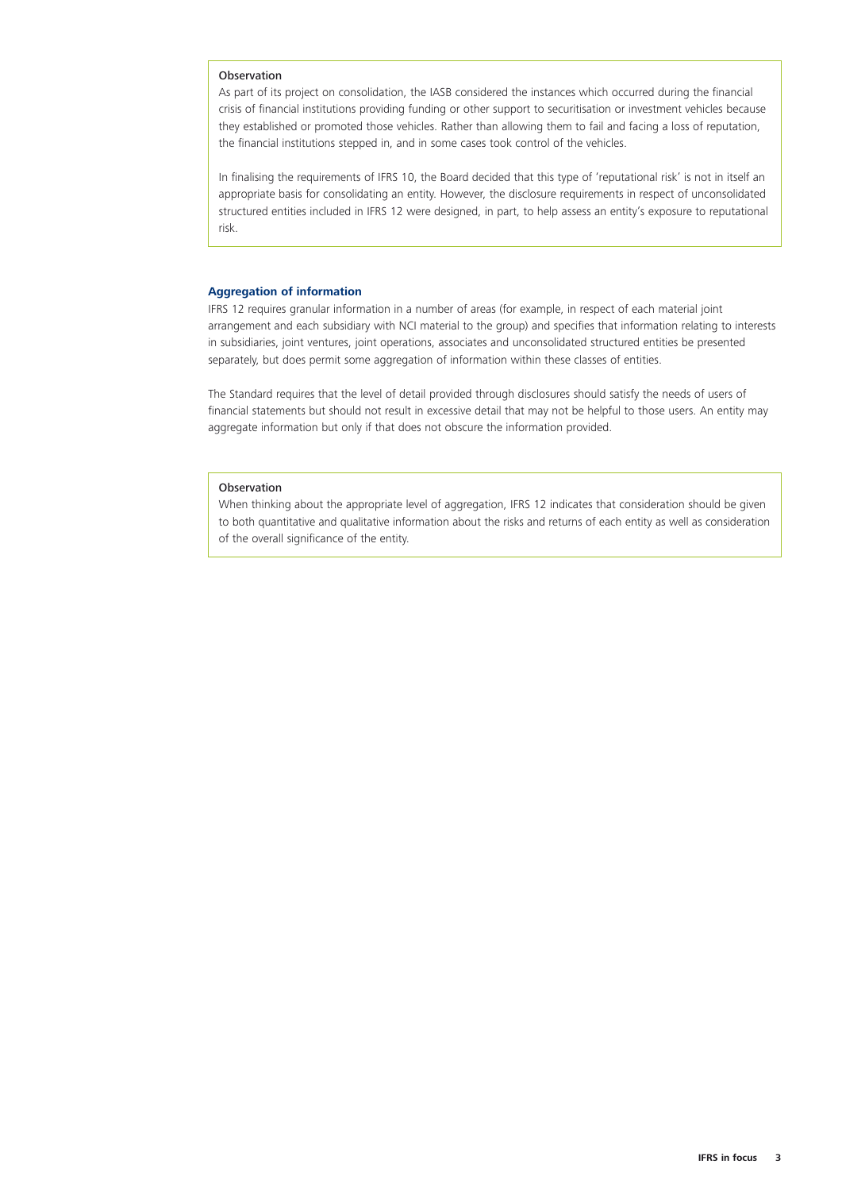#### Observation

As part of its project on consolidation, the IASB considered the instances which occurred during the financial crisis of financial institutions providing funding or other support to securitisation or investment vehicles because they established or promoted those vehicles. Rather than allowing them to fail and facing a loss of reputation, the financial institutions stepped in, and in some cases took control of the vehicles.

In finalising the requirements of IFRS 10, the Board decided that this type of 'reputational risk' is not in itself an appropriate basis for consolidating an entity. However, the disclosure requirements in respect of unconsolidated structured entities included in IFRS 12 were designed, in part, to help assess an entity's exposure to reputational risk.

#### **Aggregation of information**

IFRS 12 requires granular information in a number of areas (for example, in respect of each material joint arrangement and each subsidiary with NCI material to the group) and specifies that information relating to interests in subsidiaries, joint ventures, joint operations, associates and unconsolidated structured entities be presented separately, but does permit some aggregation of information within these classes of entities.

The Standard requires that the level of detail provided through disclosures should satisfy the needs of users of financial statements but should not result in excessive detail that may not be helpful to those users. An entity may aggregate information but only if that does not obscure the information provided.

#### Observation

When thinking about the appropriate level of aggregation, IFRS 12 indicates that consideration should be given to both quantitative and qualitative information about the risks and returns of each entity as well as consideration of the overall significance of the entity.